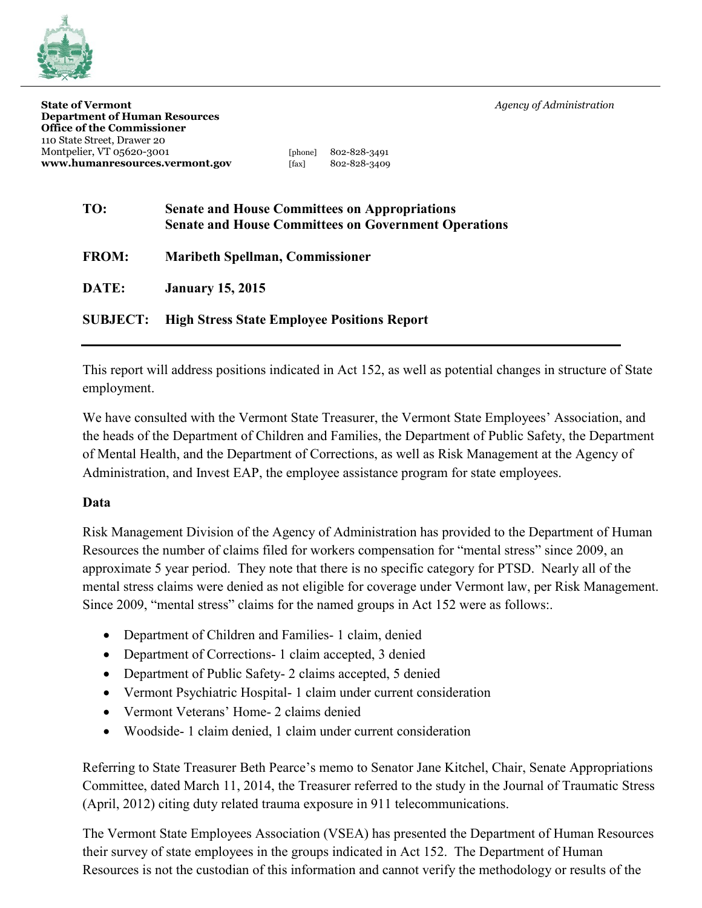**State of Vermont** *Agency of Administration*



| <b>State of Vermont</b>              |             |                            |
|--------------------------------------|-------------|----------------------------|
| <b>Department of Human Resources</b> |             |                            |
| <b>Office of the Commissioner</b>    |             |                            |
| 110 State Street, Drawer 20          |             |                            |
| Montpelier, VT 05620-3001            |             | [phone] $802 - 828 - 3491$ |
| www.humanresources.vermont.gov       | $[$ fav $]$ | 802-828-2400               |

[phone] 802-828-3491 **www.humanresources.vermont.gov** [fax] 802-828-3409

| TO:          | <b>Senate and House Committees on Appropriations</b><br><b>Senate and House Committees on Government Operations</b> |
|--------------|---------------------------------------------------------------------------------------------------------------------|
| <b>FROM:</b> | <b>Maribeth Spellman, Commissioner</b>                                                                              |
| DATE:        | <b>January 15, 2015</b>                                                                                             |

**SUBJECT: High Stress State Employee Positions Report**

This report will address positions indicated in Act 152, as well as potential changes in structure of State employment.

We have consulted with the Vermont State Treasurer, the Vermont State Employees' Association, and the heads of the Department of Children and Families, the Department of Public Safety, the Department of Mental Health, and the Department of Corrections, as well as Risk Management at the Agency of Administration, and Invest EAP, the employee assistance program for state employees.

## **Data**

Risk Management Division of the Agency of Administration has provided to the Department of Human Resources the number of claims filed for workers compensation for "mental stress" since 2009, an approximate 5 year period. They note that there is no specific category for PTSD. Nearly all of the mental stress claims were denied as not eligible for coverage under Vermont law, per Risk Management. Since 2009, "mental stress" claims for the named groups in Act 152 were as follows:.

- Department of Children and Families- 1 claim, denied
- Department of Corrections- 1 claim accepted, 3 denied
- Department of Public Safety- 2 claims accepted, 5 denied
- Vermont Psychiatric Hospital- 1 claim under current consideration
- Vermont Veterans' Home- 2 claims denied
- Woodside- 1 claim denied, 1 claim under current consideration

Referring to State Treasurer Beth Pearce's memo to Senator Jane Kitchel, Chair, Senate Appropriations Committee, dated March 11, 2014, the Treasurer referred to the study in the Journal of Traumatic Stress (April, 2012) citing duty related trauma exposure in 911 telecommunications.

The Vermont State Employees Association (VSEA) has presented the Department of Human Resources their survey of state employees in the groups indicated in Act 152. The Department of Human Resources is not the custodian of this information and cannot verify the methodology or results of the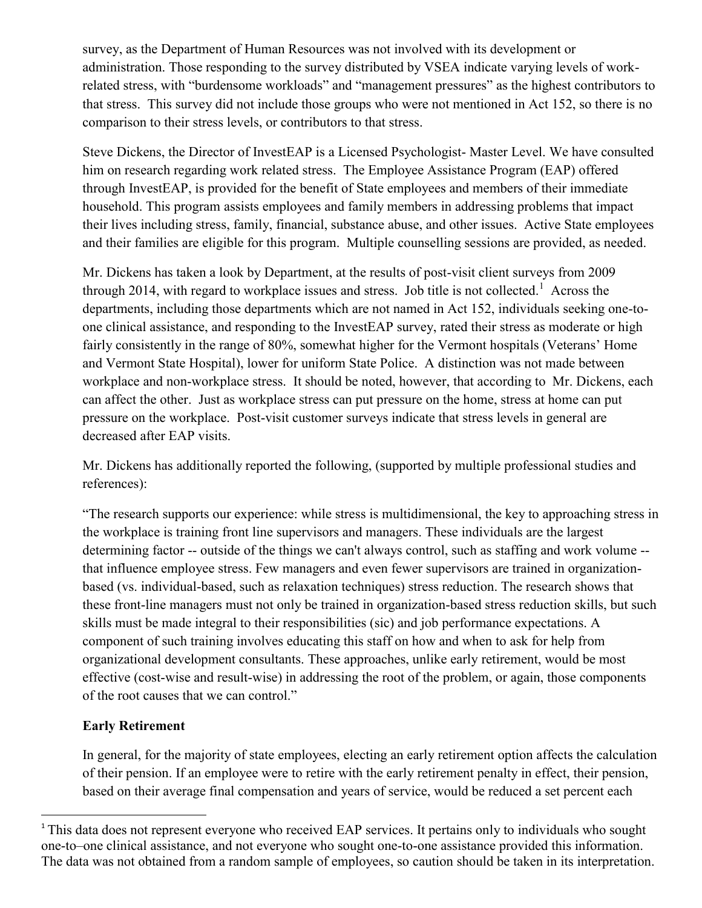survey, as the Department of Human Resources was not involved with its development or administration. Those responding to the survey distributed by VSEA indicate varying levels of workrelated stress, with "burdensome workloads" and "management pressures" as the highest contributors to that stress. This survey did not include those groups who were not mentioned in Act 152, so there is no comparison to their stress levels, or contributors to that stress.

Steve Dickens, the Director of InvestEAP is a Licensed Psychologist- Master Level. We have consulted him on research regarding work related stress. The Employee Assistance Program (EAP) offered through InvestEAP, is provided for the benefit of State employees and members of their immediate household. This program assists employees and family members in addressing problems that impact their lives including stress, family, financial, substance abuse, and other issues. Active State employees and their families are eligible for this program. Multiple counselling sessions are provided, as needed.

Mr. Dickens has taken a look by Department, at the results of post-visit client surveys from 2009 through 2014, with regard to workplace issues and stress. Job title is not collected.<sup>1</sup> Across the departments, including those departments which are not named in Act 152, individuals seeking one-toone clinical assistance, and responding to the InvestEAP survey, rated their stress as moderate or high fairly consistently in the range of 80%, somewhat higher for the Vermont hospitals (Veterans' Home and Vermont State Hospital), lower for uniform State Police. A distinction was not made between workplace and non-workplace stress. It should be noted, however, that according to Mr. Dickens, each can affect the other. Just as workplace stress can put pressure on the home, stress at home can put pressure on the workplace. Post-visit customer surveys indicate that stress levels in general are decreased after EAP visits.

Mr. Dickens has additionally reported the following, (supported by multiple professional studies and references):

"The research supports our experience: while stress is multidimensional, the key to approaching stress in the workplace is training front line supervisors and managers. These individuals are the largest determining factor -- outside of the things we can't always control, such as staffing and work volume - that influence employee stress. Few managers and even fewer supervisors are trained in organizationbased (vs. individual-based, such as relaxation techniques) stress reduction. The research shows that these front-line managers must not only be trained in organization-based stress reduction skills, but such skills must be made integral to their responsibilities (sic) and job performance expectations. A component of such training involves educating this staff on how and when to ask for help from organizational development consultants. These approaches, unlike early retirement, would be most effective (cost-wise and result-wise) in addressing the root of the problem, or again, those components of the root causes that we can control."

## **Early Retirement**

 $\overline{a}$ 

In general, for the majority of state employees, electing an early retirement option affects the calculation of their pension. If an employee were to retire with the early retirement penalty in effect, their pension, based on their average final compensation and years of service, would be reduced a set percent each

<sup>&</sup>lt;sup>1</sup> This data does not represent everyone who received EAP services. It pertains only to individuals who sought one-to–one clinical assistance, and not everyone who sought one-to-one assistance provided this information. The data was not obtained from a random sample of employees, so caution should be taken in its interpretation.